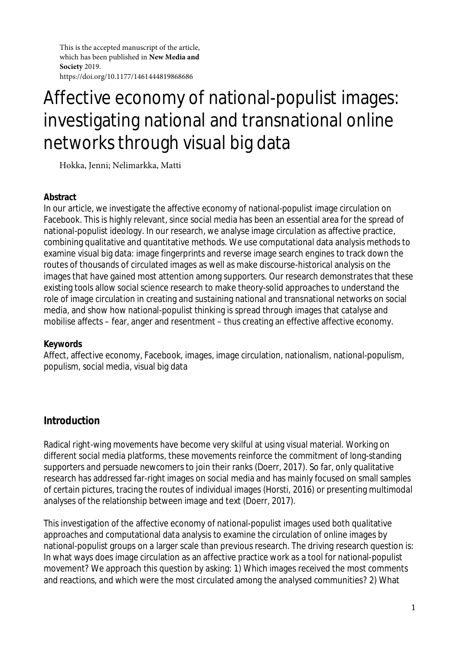This is the accepted manuscript of the article, which has been published in **New Media and Society** 2019. https://doi.org/10.1177/1461444819868686

# Affective economy of national-populist images: investigating national and transnational online networks through visual big data

Hokka, Jenni; Nelimarkka, Matti

#### **Abstract**

In our article, we investigate the affective economy of national-populist image circulation on Facebook. This is highly relevant, since social media has been an essential area for the spread of national-populist ideology. In our research, we analyse image circulation as affective practice, combining qualitative and quantitative methods. We use computational data analysis methods to examine visual big data: image fingerprints and reverse image search engines to track down the routes of thousands of circulated images as well as make discourse-historical analysis on the images that have gained most attention among supporters. Our research demonstrates that these existing tools allow social science research to make theory-solid approaches to understand the role of image circulation in creating and sustaining national and transnational networks on social media, and show how national-populist thinking is spread through images that catalyse and mobilise affects – fear, anger and resentment – thus creating an effective affective economy.

#### **Keywords**

Affect, affective economy, Facebook, images, image circulation, nationalism, national-populism, populism, social media, visual big data

#### **Introduction**

Radical right-wing movements have become very skilful at using visual material. Working on different social media platforms, these movements reinforce the commitment of long-standing supporters and persuade newcomers to join their ranks (Doerr, 2017). So far, only qualitative research has addressed far-right images on social media and has mainly focused on small samples of certain pictures, tracing the routes of individual images (Horsti, 2016) or presenting multimodal analyses of the relationship between image and text (Doerr, 2017).

This investigation of the affective economy of national-populist images used both qualitative approaches and computational data analysis to examine the circulation of online images by national-populist groups on a larger scale than previous research. The driving research question is: In what ways does image circulation as an affective practice work as a tool for national-populist movement? We approach this question by asking: 1) Which images received the most comments and reactions, and which were the most circulated among the analysed communities? 2) What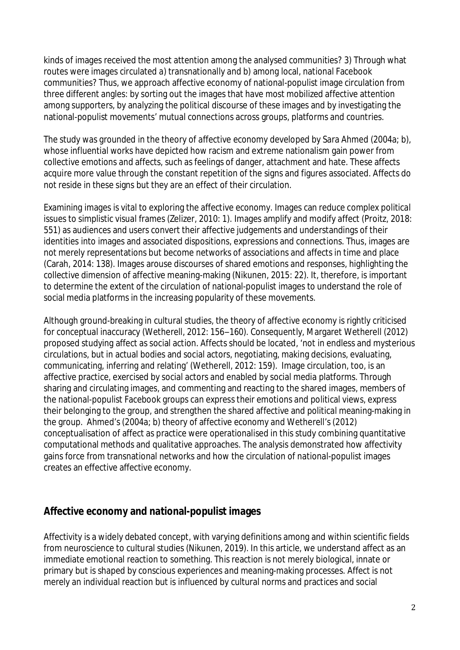kinds of images received the most attention among the analysed communities? 3) Through what routes were images circulated a) transnationally and b) among local, national Facebook communities? Thus, we approach affective economy of national-populist image circulation from three different angles: by sorting out the images that have most mobilized affective attention among supporters, by analyzing the political discourse of these images and by investigating the national-populist movements' mutual connections across groups, platforms and countries.

The study was grounded in the theory of affective economy developed by Sara Ahmed (2004a; b), whose influential works have depicted how racism and extreme nationalism gain power from collective emotions and affects, such as feelings of danger, attachment and hate. These affects acquire more value through the constant repetition of the signs and figures associated. Affects do not reside in these signs but they are an effect of their circulation.

Examining images is vital to exploring the affective economy. Images can reduce complex political issues to simplistic visual frames (Zelizer, 2010: 1). Images amplify and modify affect (Proitz, 2018: 551) as audiences and users convert their affective judgements and understandings of their identities into images and associated dispositions, expressions and connections. Thus, images are not merely representations but become networks of associations and affects in time and place (Carah, 2014: 138). Images arouse discourses of shared emotions and responses, highlighting the collective dimension of affective meaning-making (Nikunen, 2015: 22). It, therefore, is important to determine the extent of the circulation of national-populist images to understand the role of social media platforms in the increasing popularity of these movements.

Although ground-breaking in cultural studies, the theory of affective economy is rightly criticised for conceptual inaccuracy (Wetherell, 2012: 156–160). Consequently, Margaret Wetherell (2012) proposed studying affect as social action. Affects should be located, 'not in endless and mysterious circulations, but in actual bodies and social actors, negotiating, making decisions, evaluating, communicating, inferring and relating' (Wetherell, 2012: 159). Image circulation, too, is an affective practice, exercised by social actors and enabled by social media platforms. Through sharing and circulating images, and commenting and reacting to the shared images, members of the national-populist Facebook groups can express their emotions and political views, express their belonging to the group, and strengthen the shared affective and political meaning-making in the group. Ahmed's (2004a; b) theory of affective economy and Wetherell's (2012) conceptualisation of affect as practice were operationalised in this study combining quantitative computational methods and qualitative approaches. The analysis demonstrated how affectivity gains force from transnational networks and how the circulation of national-populist images creates an effective affective economy.

#### **Affective economy and national-populist images**

Affectivity is a widely debated concept, with varying definitions among and within scientific fields from neuroscience to cultural studies (Nikunen, 2019). In this article, we understand affect as an immediate emotional reaction to something. This reaction is not merely biological, innate or primary but is shaped by conscious experiences and meaning-making processes. Affect is not merely an individual reaction but is influenced by cultural norms and practices and social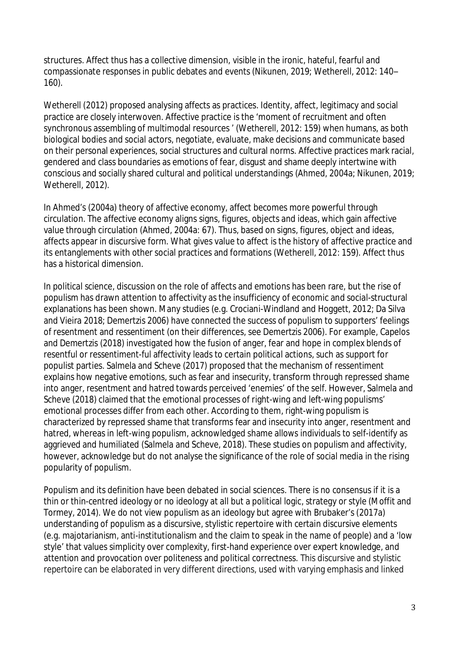structures. Affect thus has a collective dimension, visible in the ironic, hateful, fearful and compassionate responses in public debates and events (Nikunen, 2019; Wetherell, 2012: 140– 160).

Wetherell (2012) proposed analysing affects as practices. Identity, affect, legitimacy and social practice are closely interwoven. Affective practice is the 'moment of recruitment and often synchronous assembling of multimodal resources ' (Wetherell, 2012: 159) when humans, as both biological bodies and social actors, negotiate, evaluate, make decisions and communicate based on their personal experiences, social structures and cultural norms. Affective practices mark racial, gendered and class boundaries as emotions of fear, disgust and shame deeply intertwine with conscious and socially shared cultural and political understandings (Ahmed, 2004a; Nikunen, 2019; Wetherell, 2012).

In Ahmed's (2004a) theory of affective economy, affect becomes more powerful through circulation. The affective economy aligns signs, figures, objects and ideas, which gain affective value through circulation (Ahmed, 2004a: 67). Thus, based on signs, figures, object and ideas, affects appear in discursive form. What gives value to affect is the history of affective practice and its entanglements with other social practices and formations (Wetherell, 2012: 159). Affect thus has a historical dimension.

In political science, discussion on the role of affects and emotions has been rare, but the rise of populism has drawn attention to affectivity as the insufficiency of economic and social-structural explanations has been shown. Many studies (e.g. Crociani-Windland and Hoggett, 2012; Da Silva and Vieira 2018; Demertzis 2006) have connected the success of populism to supporters' feelings of resentment and *ressentiment* (on their differences, see Demertzis 2006). For example, Capelos and Demertzis (2018) investigated how the fusion of anger, fear and hope in complex blends of resentful or *ressentiment-ful* affectivity leads to certain political actions, such as support for populist parties. Salmela and Scheve (2017) proposed that the mechanism of *ressentiment* explains how negative emotions, such as fear and insecurity, transform through repressed shame into anger, resentment and hatred towards perceived 'enemies' of the self. However, Salmela and Scheve (2018) claimed that the emotional processes of right-wing and left-wing populisms' emotional processes differ from each other. According to them, right-wing populism is characterized by repressed shame that transforms fear and insecurity into anger, resentment and hatred, whereas in left-wing populism, acknowledged shame allows individuals to self-identify as aggrieved and humiliated (Salmela and Scheve, 2018). These studies on populism and affectivity, however, acknowledge but do not analyse the significance of the role of social media in the rising popularity of populism.

Populism and its definition have been debated in social sciences. There is no consensus if it is a thin or thin-centred ideology or no ideology at all but a political logic, strategy or style (Moffit and Tormey, 2014). We do not view populism as an ideology but agree with Brubaker's (2017a) understanding of populism as a discursive, stylistic repertoire with certain discursive elements (e.g. majotarianism, anti-institutionalism and the claim to speak in the name of people) and a 'low style' that values simplicity over complexity, first-hand experience over expert knowledge, and attention and provocation over politeness and political correctness. This discursive and stylistic repertoire can be elaborated in very different directions, used with varying emphasis and linked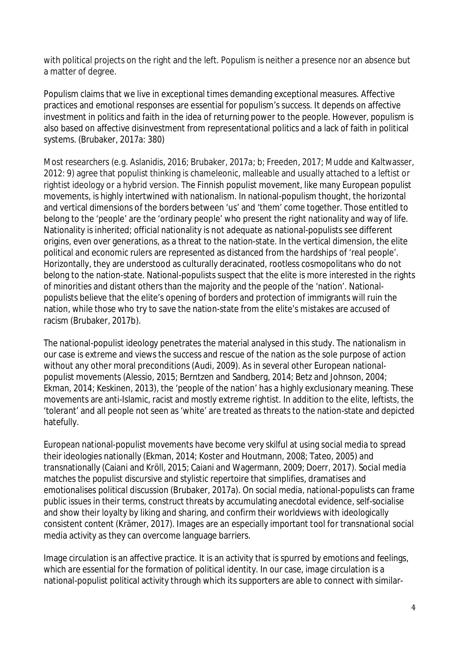with political projects on the right and the left. Populism is neither a presence nor an absence but a matter of degree.

Populism claims that we live in exceptional times demanding exceptional measures. Affective practices and emotional responses are essential for populism's success. It depends on affective investment in politics and faith in the idea of returning power to the people. However, populism is also based on affective disinvestment from representational politics and a lack of faith in political systems. (Brubaker, 2017a: 380)

Most researchers (e.g. Aslanidis, 2016; Brubaker, 2017a; b; Freeden, 2017; Mudde and Kaltwasser, 2012: 9) agree that populist thinking is chameleonic, malleable and usually attached to a leftist or rightist ideology or a hybrid version. The Finnish populist movement, like many European populist movements, is highly intertwined with nationalism. In national-populism thought, the horizontal and vertical dimensions of the borders between 'us' and 'them' come together. Those entitled to belong to the 'people' are the 'ordinary people' who present the right nationality and way of life. Nationality is inherited; official nationality is not adequate as national-populists see different origins, even over generations, as a threat to the nation-state. In the vertical dimension, the elite political and economic rulers are represented as distanced from the hardships of 'real people'. Horizontally, they are understood as culturally deracinated, rootless cosmopolitans who do not belong to the nation-state. National-populists suspect that the elite is more interested in the rights of minorities and distant others than the majority and the people of the 'nation'. Nationalpopulists believe that the elite's opening of borders and protection of immigrants will ruin the nation, while those who try to save the nation-state from the elite's mistakes are accused of racism (Brubaker, 2017b).

The national-populist ideology penetrates the material analysed in this study. The nationalism in our case is extreme and views the success and rescue of the nation as the sole purpose of action without any other moral preconditions (Audi, 2009). As in several other European nationalpopulist movements (Alessio, 2015; Berntzen and Sandberg, 2014; Betz and Johnson, 2004; Ekman, 2014; Keskinen, 2013), the 'people of the nation' has a highly exclusionary meaning. These movements are anti-Islamic, racist and mostly extreme rightist. In addition to the elite, leftists, the 'tolerant' and all people not seen as 'white' are treated as threats to the nation-state and depicted hatefully.

European national-populist movements have become very skilful at using social media to spread their ideologies nationally (Ekman, 2014; Koster and Houtmann, 2008; Tateo, 2005) and transnationally (Caiani and Kröll, 2015; Caiani and Wagermann, 2009; Doerr, 2017). Social media matches the populist discursive and stylistic repertoire that simplifies, dramatises and emotionalises political discussion (Brubaker, 2017a). On social media, national-populists can frame public issues in their terms, construct threats by accumulating anecdotal evidence, self-socialise and show their loyalty by liking and sharing, and confirm their worldviews with ideologically consistent content (Krämer, 2017). Images are an especially important tool for transnational social media activity as they can overcome language barriers.

Image circulation is an affective practice. It is an activity that is spurred by emotions and feelings, which are essential for the formation of political identity. In our case, image circulation is a national-populist political activity through which its supporters are able to connect with similar-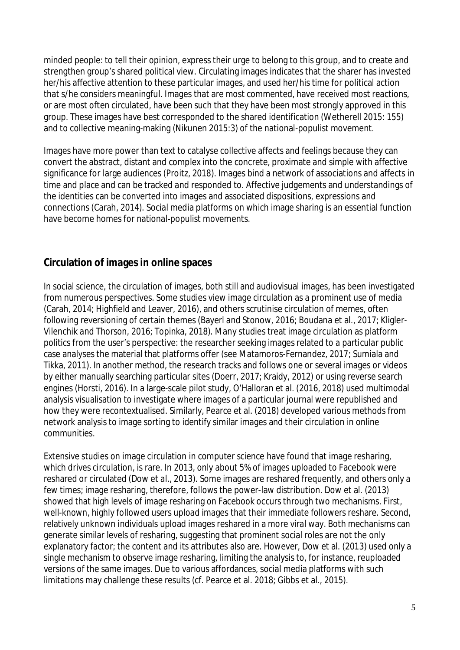minded people: to tell their opinion, express their urge to belong to this group, and to create and strengthen group's shared political view. Circulating images indicates that the sharer has invested her/his affective attention to these particular images, and used her/his time for political action that s/he considers meaningful. Images that are most commented, have received most reactions, or are most often circulated, have been such that they have been most strongly approved in this group. These images have best corresponded to the shared identification (Wetherell 2015: 155) and to collective meaning-making (Nikunen 2015:3) of the national-populist movement.

Images have more power than text to catalyse collective affects and feelings because they can convert the abstract, distant and complex into the concrete, proximate and simple with affective significance for large audiences (Proitz, 2018). Images bind a network of associations and affects in time and place and can be tracked and responded to. Affective judgements and understandings of the identities can be converted into images and associated dispositions, expressions and connections (Carah, 2014). Social media platforms on which image sharing is an essential function have become homes for national-populist movements.

#### **Circulation of images in online spaces**

In social science, the circulation of images, both still and audiovisual images, has been investigated from numerous perspectives. Some studies view image circulation as a prominent use of media (Carah, 2014; Highfield and Leaver, 2016), and others scrutinise circulation of memes, often following reversioning of certain themes (Bayerl and Stonow, 2016; Boudana et al., 2017; Kligler-Vilenchik and Thorson, 2016; Topinka, 2018). Many studies treat image circulation as platform politics from the user's perspective: the researcher seeking images related to a particular public case analyses the material that platforms offer (see Matamoros-Fernandez, 2017; Sumiala and Tikka, 2011). In another method, the research tracks and follows one or several images or videos by either manually searching particular sites (Doerr, 2017; Kraidy, 2012) or using reverse search engines (Horsti, 2016). In a large-scale pilot study, O'Halloran et al. (2016, 2018) used multimodal analysis visualisation to investigate where images of a particular journal were republished and how they were recontextualised. Similarly, Pearce et al. (2018) developed various methods from network analysis to image sorting to identify similar images and their circulation in online communities.

Extensive studies on image circulation in computer science have found that image resharing, which drives circulation, is rare. In 2013, only about 5% of images uploaded to Facebook were reshared or circulated (Dow et al., 2013). Some images are reshared frequently, and others only a few times; image resharing, therefore, follows the power-law distribution. Dow et al. (2013) showed that high levels of image resharing on Facebook occurs through two mechanisms. First, well-known, highly followed users upload images that their immediate followers reshare. Second, relatively unknown individuals upload images reshared in a more viral way. Both mechanisms can generate similar levels of resharing, suggesting that prominent social roles are not the only explanatory factor; the content and its attributes also are. However, Dow et al. (2013) used only a single mechanism to observe image resharing, limiting the analysis to, for instance, reuploaded versions of the same images. Due to various affordances, social media platforms with such limitations may challenge these results (cf. Pearce et al. 2018; Gibbs et al., 2015).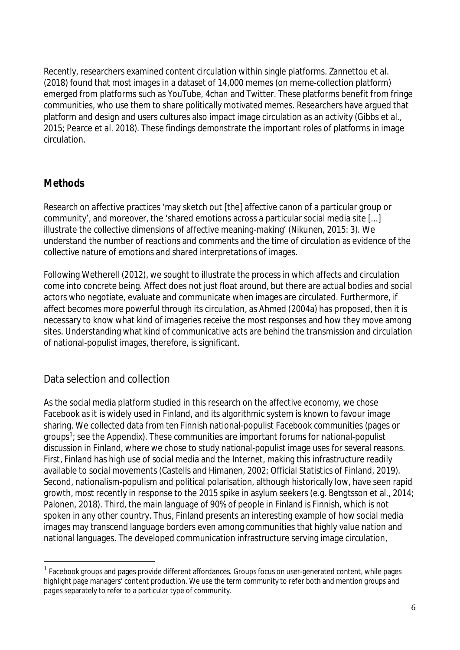Recently, researchers examined content circulation within single platforms. Zannettou et al. (2018) found that most images in a dataset of 14,000 memes (on meme-collection platform) emerged from platforms such as YouTube, 4chan and Twitter. These platforms benefit from fringe communities, who use them to share politically motivated memes. Researchers have argued that platform and design and users cultures also impact image circulation as an activity (Gibbs et al., 2015; Pearce et al. 2018). These findings demonstrate the important roles of platforms in image circulation.

#### **Methods**

Research on affective practices 'may sketch out [the] affective canon of a particular group or community', and moreover, the 'shared emotions across a particular social media site [...] illustrate the collective dimensions of affective meaning-making' (Nikunen, 2015: 3). We understand the number of reactions and comments and the time of circulation as evidence of the collective nature of emotions and shared interpretations of images.

Following Wetherell (2012), we sought to illustrate the process in which affects and circulation come into concrete being. Affect does not just float around, but there are actual bodies and social actors who negotiate, evaluate and communicate when images are circulated. Furthermore, if affect becomes more powerful through its circulation, as Ahmed (2004a) has proposed, then it is necessary to know what kind of imageries receive the most responses and how they move among sites. Understanding what kind of communicative acts are behind the transmission and circulation of national-populist images, therefore, is significant.

#### Data selection and collection

As the social media platform studied in this research on the affective economy, we chose Facebook as it is widely used in Finland, and its algorithmic system is known to favour image sharing. We collected data from ten Finnish national-populist Facebook communities (pages or groups<sup>1</sup>; see the Appendix). These communities are important forums for national-populist discussion in Finland, where we chose to study national-populist image uses for several reasons. First, Finland has high use of social media and the Internet, making this infrastructure readily available to social movements (Castells and Himanen, 2002; Official Statistics of Finland, 2019). Second, nationalism-populism and political polarisation, although historically low, have seen rapid growth, most recently in response to the 2015 spike in asylum seekers (e.g. Bengtsson et al., 2014; Palonen, 2018). Third, the main language of 90% of people in Finland is Finnish, which is not spoken in any other country. Thus, Finland presents an interesting example of how social media images may transcend language borders even among communities that highly value nation and national languages. The developed communication infrastructure serving image circulation,

<sup>&</sup>lt;sup>1</sup> Facebook groups and pages provide different affordances. Groups focus on user-generated content, while pages highlight page managers' content production. We use the term *community* to refer both and mention *groups* and *pages* separately to refer to a particular type of community.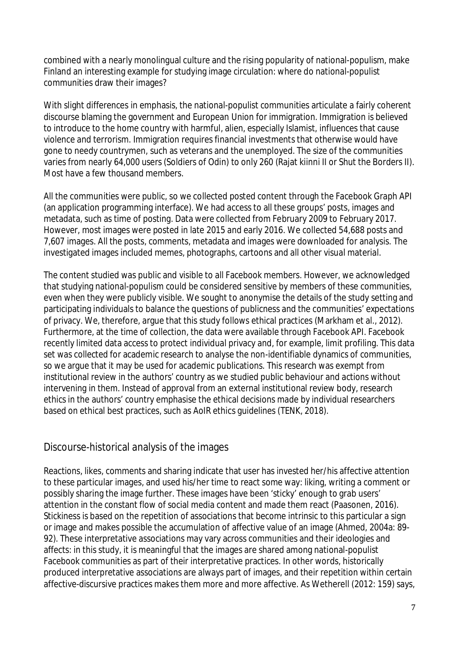combined with a nearly monolingual culture and the rising popularity of national-populism, make Finland an interesting example for studying image circulation: where do national-populist communities draw their images?

With slight differences in emphasis, the national-populist communities articulate a fairly coherent discourse blaming the government and European Union for immigration. Immigration is believed to introduce to the home country with harmful, alien, especially Islamist, influences that cause violence and terrorism. Immigration requires financial investments that otherwise would have gone to needy countrymen, such as veterans and the unemployed. The size of the communities varies from nearly 64,000 users (Soldiers of Odin) to only 260 (Rajat kiinni II or Shut the Borders II). Most have a few thousand members.

All the communities were public, so we collected posted content through the Facebook Graph API (an application programming interface). We had access to all these groups' posts, images and metadata, such as time of posting. Data were collected from February 2009 to February 2017. However, most images were posted in late 2015 and early 2016. We collected 54,688 posts and 7,607 images. All the posts, comments, metadata and images were downloaded for analysis. The investigated images included memes, photographs, cartoons and all other visual material.

The content studied was public and visible to all Facebook members. However, we acknowledged that studying national-populism could be considered sensitive by members of these communities, even when they were publicly visible. We sought to anonymise the details of the study setting and participating individuals to balance the questions of publicness and the communities' expectations of privacy. We, therefore, argue that this study follows ethical practices (Markham et al., 2012). Furthermore, at the time of collection, the data were available through Facebook API. Facebook recently limited data access to protect individual privacy and, for example, limit profiling. This data set was collected for academic research to analyse the non-identifiable dynamics of communities, so we argue that it may be used for academic publications. This research was exempt from institutional review in the authors' country as we studied public behaviour and actions without intervening in them. Instead of approval from an external institutional review body, research ethics in the authors' country emphasise the ethical decisions made by individual researchers based on ethical best practices, such as AoIR ethics guidelines (TENK, 2018).

#### Discourse-historical analysis of the images

Reactions, likes, comments and sharing indicate that user has invested her/his affective attention to these particular images, and used his/her time to react some way: liking, writing a comment or possibly sharing the image further. These images have been 'sticky' enough to grab users' attention in the constant flow of social media content and made them react (Paasonen, 2016). Stickiness is based on the repetition of associations that become intrinsic to this particular a sign or image and makes possible the accumulation of affective value of an image (Ahmed, 2004a: 89- 92). These interpretative associations may vary across communities and their ideologies and affects: in this study, it is meaningful that the images are shared among national-populist Facebook communities as part of their interpretative practices. In other words, historically produced interpretative associations are always part of images, and their repetition within certain affective-discursive practices makes them more and more affective. As Wetherell (2012: 159) says,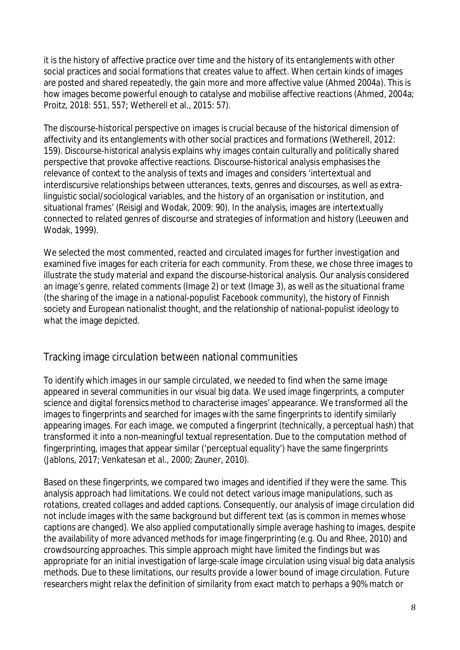it is the history of affective practice over time and the history of its entanglements with other social practices and social formations that creates value to affect. When certain kinds of images are posted and shared repeatedly, the gain more and more affective value (Ahmed 2004a). This is how images become powerful enough to catalyse and mobilise affective reactions (Ahmed, 2004a; Proitz, 2018: 551, 557; Wetherell et al., 2015: 57).

The discourse-historical perspective on images is crucial because of the historical dimension of affectivity and its entanglements with other social practices and formations (Wetherell, 2012: 159). Discourse-historical analysis explains why images contain culturally and politically shared perspective that provoke affective reactions. Discourse-historical analysis emphasises the relevance of context to the analysis of texts and images and considers 'intertextual and interdiscursive relationships between utterances, texts, genres and discourses, as well as extralinguistic social/sociological variables, and the history of an organisation or institution, and situational frames' (Reisigl and Wodak, 2009: 90). In the analysis, images are intertextually connected to related genres of discourse and strategies of information and history (Leeuwen and Wodak, 1999).

We selected the most commented, reacted and circulated images for further investigation and examined five images for each criteria for each community. From these, we chose three images to illustrate the study material and expand the discourse-historical analysis. Our analysis considered an image's genre, related comments (Image 2) or text (Image 3), as well as the situational frame (the sharing of the image in a national-populist Facebook community), the history of Finnish society and European nationalist thought, and the relationship of national-populist ideology to what the image depicted.

#### Tracking image circulation between national communities

To identify which images in our sample circulated, we needed to find when the same image appeared in several communities in our visual big data. We used image fingerprints, a computer science and digital forensics method to characterise images' appearance. We transformed all the images to fingerprints and searched for images with the same fingerprints to identify similarly appearing images. For each image, we computed a fingerprint (technically, a perceptual hash) that transformed it into a non-meaningful textual representation. Due to the computation method of fingerprinting, images that appear similar ('perceptual equality') have the same fingerprints (Jablons, 2017; Venkatesan et al., 2000; Zauner, 2010).

Based on these fingerprints, we compared two images and identified if they were the same. This analysis approach had limitations. We could not detect various image manipulations, such as rotations, created collages and added captions. Consequently, our analysis of image circulation did not include images with the same background but different text (as is common in memes whose captions are changed). We also applied computationally simple average hashing to images, despite the availability of more advanced methods for image fingerprinting (e.g. Ou and Rhee, 2010) and crowdsourcing approaches. This simple approach might have limited the findings but was appropriate for an initial investigation of large-scale image circulation using visual big data analysis methods. Due to these limitations, our results provide a lower bound of image circulation. Future researchers might relax the definition of similarity from exact match to perhaps a 90% match or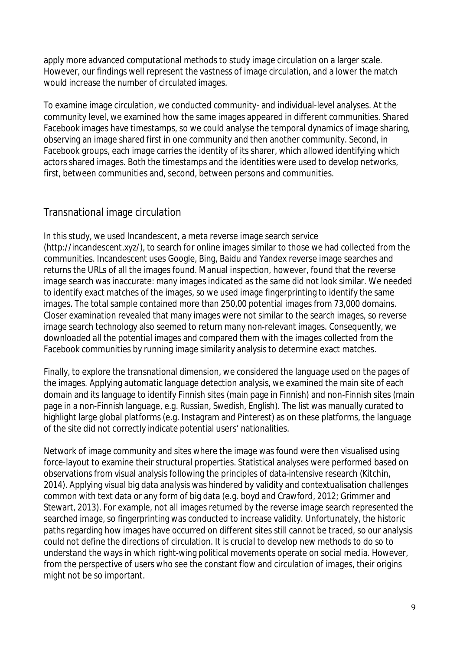apply more advanced computational methods to study image circulation on a larger scale. However, our findings well represent the vastness of image circulation, and a lower the match would increase the number of circulated images.

To examine image circulation, we conducted community- and individual-level analyses. At the community level, we examined how the same images appeared in different communities. Shared Facebook images have timestamps, so we could analyse the temporal dynamics of image sharing, observing an image shared first in one community and then another community. Second, in Facebook groups, each image carries the identity of its sharer, which allowed identifying which actors shared images. Both the timestamps and the identities were used to develop networks, first, between communities and, second, between persons and communities.

## Transnational image circulation

In this study, we used Incandescent, a meta reverse image search service (http://incandescent.xyz/), to search for online images similar to those we had collected from the communities. Incandescent uses Google, Bing, Baidu and Yandex reverse image searches and returns the URLs of all the images found. Manual inspection, however, found that the reverse image search was inaccurate: many images indicated as the same did not look similar. We needed to identify exact matches of the images, so we used image fingerprinting to identify the same images. The total sample contained more than 250,00 potential images from 73,000 domains. Closer examination revealed that many images were not similar to the search images, so reverse image search technology also seemed to return many non-relevant images. Consequently, we downloaded all the potential images and compared them with the images collected from the Facebook communities by running image similarity analysis to determine exact matches.

Finally, to explore the transnational dimension, we considered the language used on the pages of the images. Applying automatic language detection analysis, we examined the main site of each domain and its language to identify Finnish sites (main page in Finnish) and non-Finnish sites (main page in a non-Finnish language, e.g. Russian, Swedish, English). The list was manually curated to highlight large global platforms (e.g. Instagram and Pinterest) as on these platforms, the language of the site did not correctly indicate potential users' nationalities.

Network of image community and sites where the image was found were then visualised using force-layout to examine their structural properties. Statistical analyses were performed based on observations from visual analysis following the principles of data-intensive research (Kitchin, 2014). Applying visual big data analysis was hindered by validity and contextualisation challenges common with text data or any form of big data (e.g. boyd and Crawford, 2012; Grimmer and Stewart, 2013). For example, not all images returned by the reverse image search represented the searched image, so fingerprinting was conducted to increase validity. Unfortunately, the historic paths regarding how images have occurred on different sites still cannot be traced, so our analysis could not define the directions of circulation. It is crucial to develop new methods to do so to understand the ways in which right-wing political movements operate on social media. However, from the perspective of users who see the constant flow and circulation of images, their origins might not be so important.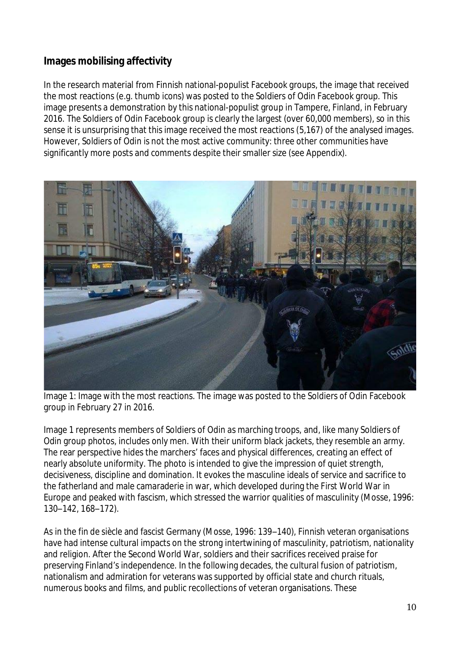### **Images mobilising affectivity**

In the research material from Finnish national-populist Facebook groups, the image that received the most reactions (e.g. thumb icons) was posted to the Soldiers of Odin Facebook group. This image presents a demonstration by this national-populist group in Tampere, Finland, in February 2016. The Soldiers of Odin Facebook group is clearly the largest (over 60,000 members), so in this sense it is unsurprising that this image received the most reactions (5,167) of the analysed images. However, Soldiers of Odin is not the most active community: three other communities have significantly more posts and comments despite their smaller size (see Appendix).



Image 1: Image with the most reactions. The image was posted to the Soldiers of Odin Facebook group in February 27 in 2016.

Image 1 represents members of Soldiers of Odin as marching troops, and, like many Soldiers of Odin group photos, includes only men. With their uniform black jackets, they resemble an army. The rear perspective hides the marchers' faces and physical differences, creating an effect of nearly absolute uniformity. The photo is intended to give the impression of quiet strength, decisiveness, discipline and domination. It evokes the masculine ideals of service and sacrifice to the fatherland and male camaraderie in war, which developed during the First World War in Europe and peaked with fascism, which stressed the warrior qualities of masculinity (Mosse, 1996: 130‒142, 168‒172).

As in the *fin de siècle* and fascist Germany (Mosse, 1996: 139-140), Finnish veteran organisations have had intense cultural impacts on the strong intertwining of masculinity, patriotism, nationality and religion. After the Second World War, soldiers and their sacrifices received praise for preserving Finland's independence. In the following decades, the cultural fusion of patriotism, nationalism and admiration for veterans was supported by official state and church rituals, numerous books and films, and public recollections of veteran organisations. These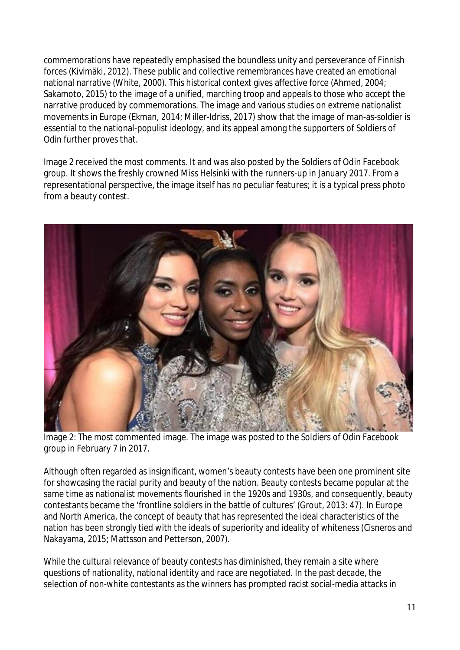commemorations have repeatedly emphasised the boundless unity and perseverance of Finnish forces (Kivimäki, 2012). These public and collective remembrances have created an emotional national narrative (White, 2000). This historical context gives affective force (Ahmed, 2004; Sakamoto, 2015) to the image of a unified, marching troop and appeals to those who accept the narrative produced by commemorations. The image and various studies on extreme nationalist movements in Europe (Ekman, 2014; Miller-Idriss, 2017) show that the image of man-as-soldier is essential to the national-populist ideology, and its appeal among the supporters of Soldiers of Odin further proves that.

Image 2 received the most comments. It and was also posted by the Soldiers of Odin Facebook group. It shows the freshly crowned Miss Helsinki with the runners-up in January 2017. From a representational perspective, the image itself has no peculiar features; it is a typical press photo from a beauty contest.



Image 2: The most commented image. The image was posted to the Soldiers of Odin Facebook group in February 7 in 2017.

Although often regarded as insignificant, women's beauty contests have been one prominent site for showcasing the racial purity and beauty of the nation. Beauty contests became popular at the same time as nationalist movements flourished in the 1920s and 1930s, and consequently, beauty contestants became the 'frontline soldiers in the battle of cultures' (Grout, 2013: 47). In Europe and North America, the concept of beauty that has represented the ideal characteristics of the nation has been strongly tied with the ideals of superiority and ideality of whiteness (Cisneros and Nakayama, 2015; Mattsson and Petterson, 2007).

While the cultural relevance of beauty contests has diminished, they remain a site where questions of nationality, national identity and race are negotiated. In the past decade, the selection of non-white contestants as the winners has prompted racist social-media attacks in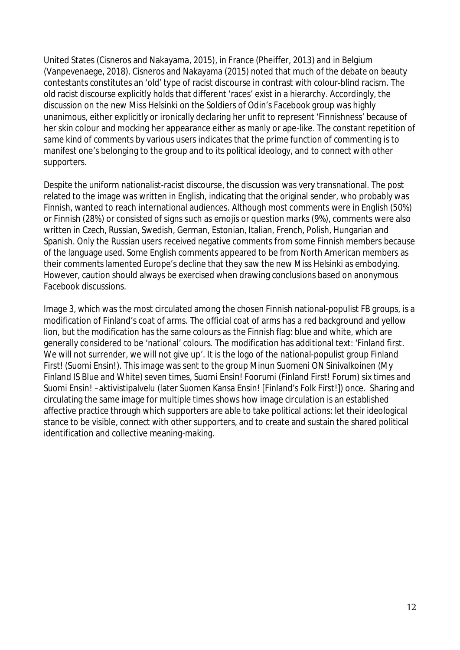United States (Cisneros and Nakayama, 2015), in France (Pheiffer, 2013) and in Belgium (Vanpevenaege, 2018). Cisneros and Nakayama (2015) noted that much of the debate on beauty contestants constitutes an 'old' type of racist discourse in contrast with colour-blind racism. The old racist discourse explicitly holds that different 'races' exist in a hierarchy. Accordingly, the discussion on the new Miss Helsinki on the Soldiers of Odin's Facebook group was highly unanimous, either explicitly or ironically declaring her unfit to represent 'Finnishness' because of her skin colour and mocking her appearance either as manly or ape-like. The constant repetition of same kind of comments by various users indicates that the prime function of commenting is to manifest one's belonging to the group and to its political ideology, and to connect with other supporters.

Despite the uniform nationalist-racist discourse, the discussion was very transnational. The post related to the image was written in English, indicating that the original sender, who probably was Finnish, wanted to reach international audiences. Although most comments were in English (50%) or Finnish (28%) or consisted of signs such as emojis or question marks (9%), comments were also written in Czech, Russian, Swedish, German, Estonian, Italian, French, Polish, Hungarian and Spanish. Only the Russian users received negative comments from some Finnish members because of the language used. Some English comments appeared to be from North American members as their comments lamented Europe's decline that they saw the new Miss Helsinki as embodying. However, caution should always be exercised when drawing conclusions based on anonymous Facebook discussions.

Image 3, which was the most circulated among the chosen Finnish national-populist FB groups, is a modification of Finland's coat of arms. The official coat of arms has a red background and yellow lion, but the modification has the same colours as the Finnish flag: blue and white, which are generally considered to be 'national' colours. The modification has additional text: 'Finland first. We will not surrender, we will not give up'. It is the logo of the national-populist group Finland First! (Suomi Ensin!). This image was sent to the group Minun Suomeni ON Sinivalkoinen (My Finland IS Blue and White) seven times, Suomi Ensin! Foorumi (Finland First! Forum) six times and Suomi Ensin! –aktivistipalvelu *(*later Suomen Kansa Ensin! [Finland's Folk First!]) once. Sharing and circulating the same image for multiple times shows how image circulation is an established affective practice through which supporters are able to take political actions: let their ideological stance to be visible, connect with other supporters, and to create and sustain the shared political identification and collective meaning-making.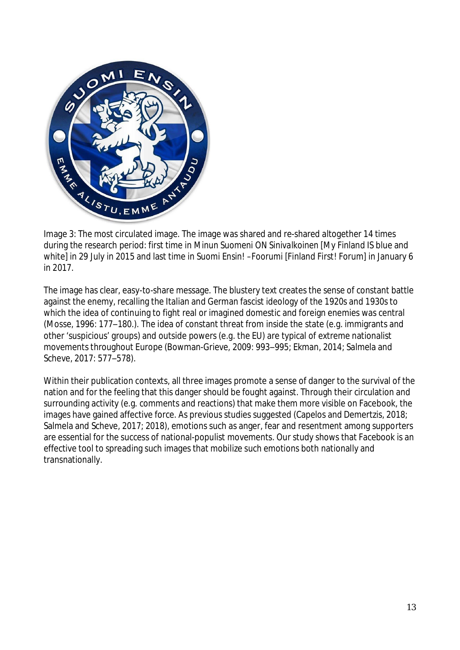

Image 3: The most circulated image. The image was shared and re-shared altogether 14 times during the research period: first time in *Minun Suomeni ON Sinivalkoinen* [My Finland IS blue and white] in 29 July in 2015 and last time in *Suomi Ensin! –Foorumi* [Finland First! Forum] in January 6 in 2017.

The image has clear, easy-to-share message. The blustery text creates the sense of constant battle against the enemy, recalling the Italian and German fascist ideology of the 1920s and 1930s to which the idea of continuing to fight real or imagined domestic and foreign enemies was central (Mosse, 1996: 177–180.). The idea of constant threat from inside the state (e.g. immigrants and other 'suspicious' groups) and outside powers (e.g. the EU) are typical of extreme nationalist movements throughout Europe (Bowman-Grieve, 2009: 993–995; Ekman, 2014; Salmela and Scheve, 2017: 577-578).

Within their publication contexts, all three images promote a sense of danger to the survival of the nation and for the feeling that this danger should be fought against. Through their circulation and surrounding activity (e.g. comments and reactions) that make them more visible on Facebook, the images have gained affective force. As previous studies suggested (Capelos and Demertzis, 2018; Salmela and Scheve, 2017; 2018), emotions such as anger, fear and resentment among supporters are essential for the success of national-populist movements. Our study shows that Facebook is an effective tool to spreading such images that mobilize such emotions both nationally and transnationally.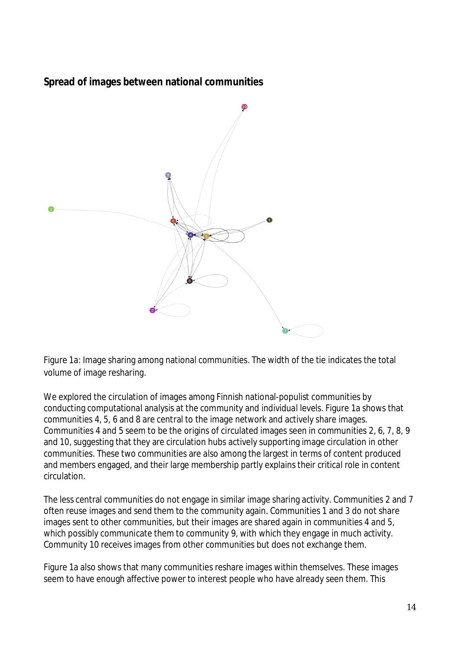**Spread of images between national communities**



Figure 1a: Image sharing among national communities. The width of the tie indicates the total volume of image resharing.

We explored the circulation of images among Finnish national-populist communities by conducting computational analysis at the community and individual levels. Figure 1a shows that communities 4, 5, 6 and 8 are central to the image network and actively share images. Communities 4 and 5 seem to be the origins of circulated images seen in communities 2, 6, 7, 8, 9 and 10, suggesting that they are circulation hubs actively supporting image circulation in other communities. These two communities are also among the largest in terms of content produced and members engaged, and their large membership partly explains their critical role in content circulation.

The less central communities do not engage in similar image sharing activity. Communities 2 and 7 often reuse images and send them to the community again. Communities 1 and 3 do not share images sent to other communities, but their images are shared again in communities 4 and 5, which possibly communicate them to community 9, with which they engage in much activity. Community 10 receives images from other communities but does not exchange them.

Figure 1a also shows that many communities reshare images within themselves. These images seem to have enough affective power to interest people who have already seen them. This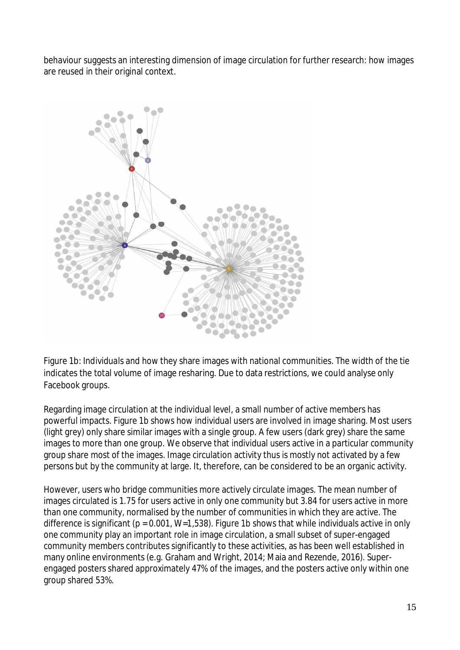behaviour suggests an interesting dimension of image circulation for further research: how images are reused in their original context.



Figure 1b: Individuals and how they share images with national communities. The width of the tie indicates the total volume of image resharing. Due to data restrictions, we could analyse only Facebook groups.

Regarding image circulation at the individual level, a small number of active members has powerful impacts. Figure 1b shows how individual users are involved in image sharing. Most users (light grey) only share similar images with a single group. A few users (dark grey) share the same images to more than one group. We observe that individual users active in a particular community group share most of the images. Image circulation activity thus is mostly not activated by a few persons but by the community at large. It, therefore, can be considered to be an organic activity.

However, users who bridge communities more actively circulate images. The mean number of images circulated is 1.75 for users active in only one community but 3.84 for users active in more than one community, normalised by the number of communities in which they are active. The difference is significant ( $p = 0.001$ , W=1,538). Figure 1b shows that while individuals active in only one community play an important role in image circulation, a small subset of super-engaged community members contributes significantly to these activities, as has been well established in many online environments (e.g. Graham and Wright, 2014; Maia and Rezende, 2016). Superengaged posters shared approximately 47% of the images, and the posters active only within one group shared 53%.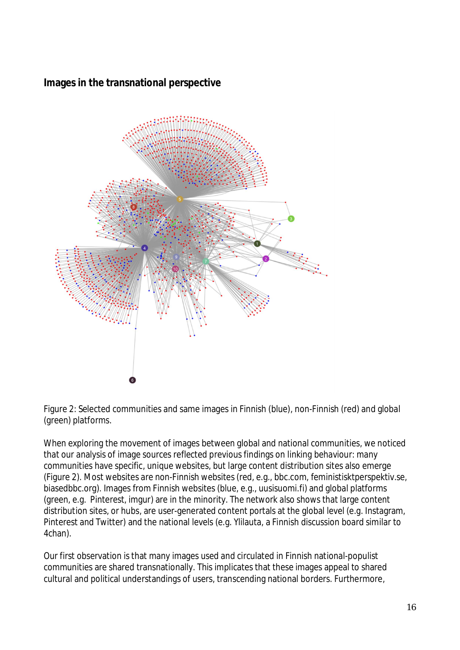**Images in the transnational perspective**



Figure 2: Selected communities and same images in Finnish (blue), non-Finnish (red) and global (green) platforms.

When exploring the movement of images between global and national communities, we noticed that our analysis of image sources reflected previous findings on linking behaviour: many communities have specific, unique websites, but large content distribution sites also emerge (Figure 2). Most websites are non-Finnish websites (red, e.g., bbc.com, feministisktperspektiv.se, biasedbbc.org). Images from Finnish websites (blue, e.g., uusisuomi.fi) and global platforms (green, e.g. Pinterest, imgur) are in the minority. The network also shows that large content distribution sites, or hubs, are user-generated content portals at the global level (e.g. Instagram, Pinterest and Twitter) and the national levels (e.g. Ylilauta, a Finnish discussion board similar to 4chan).

Our first observation is that many images used and circulated in Finnish national-populist communities are shared transnationally. This implicates that these images appeal to shared cultural and political understandings of users, transcending national borders. Furthermore,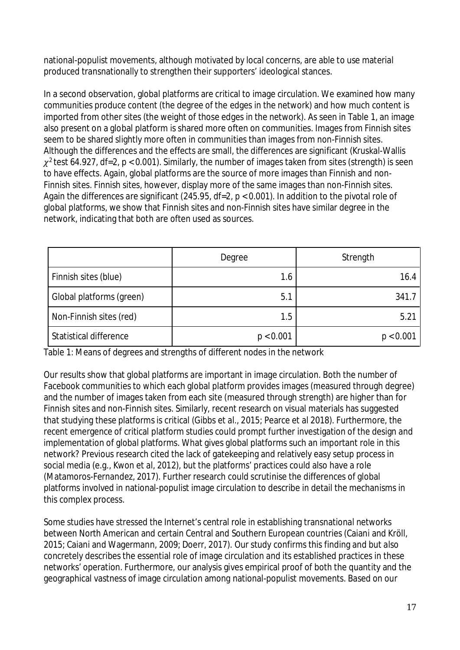national-populist movements, although motivated by local concerns, are able to use material produced transnationally to strengthen their supporters' ideological stances.

In a second observation, global platforms are critical to image circulation. We examined how many communities produce content (the degree of the edges in the network) and how much content is imported from other sites (the weight of those edges in the network). As seen in Table 1, an image also present on a global platform is shared more often on communities. Images from Finnish sites seem to be shared slightly more often in communities than images from non-Finnish sites. Although the differences and the effects are small, the differences are significant (Kruskal-Wallis  $\chi^2$ test 64.927, df=2, p < 0.001). Similarly, the number of images taken from sites (strength) is seen to have effects. Again, global platforms are the source of more images than Finnish and non-Finnish sites. Finnish sites, however, display more of the same images than non-Finnish sites. Again the differences are significant (245.95, df=2, p < 0.001). In addition to the pivotal role of global platforms, we show that Finnish sites and non-Finnish sites have similar degree in the network, indicating that both are often used as sources.

|                               | Degree    | Strength  |  |
|-------------------------------|-----------|-----------|--|
| Finnish sites (blue)          | 1.6       | 16.4      |  |
| Global platforms (green)      | 5.1       | 341.7     |  |
| Non-Finnish sites (red)       | 1.5       | 5.21      |  |
| <b>Statistical difference</b> | p < 0.001 | p < 0.001 |  |

Table 1: Means of degrees and strengths of different nodes in the network

Our results show that global platforms are important in image circulation. Both the number of Facebook communities to which each global platform provides images (measured through degree) and the number of images taken from each site (measured through strength) are higher than for Finnish sites and non-Finnish sites. Similarly, recent research on visual materials has suggested that studying these platforms is critical (Gibbs et al., 2015; Pearce et al 2018). Furthermore, the recent emergence of critical platform studies could prompt further investigation of the design and implementation of global platforms. What gives global platforms such an important role in this network? Previous research cited the lack of gatekeeping and relatively easy setup process in social media (e.g., Kwon et al, 2012), but the platforms' practices could also have a role (Matamoros-Fernandez, 2017). Further research could scrutinise the differences of global platforms involved in national-populist image circulation to describe in detail the mechanisms in this complex process.

Some studies have stressed the Internet's central role in establishing transnational networks between North American and certain Central and Southern European countries (Caiani and Kröll, 2015; Caiani and Wagermann, 2009; Doerr, 2017). Our study confirms this finding and but also concretely describes the essential role of image circulation and its established practices in these networks' operation. Furthermore, our analysis gives empirical proof of both the quantity and the geographical vastness of image circulation among national-populist movements. Based on our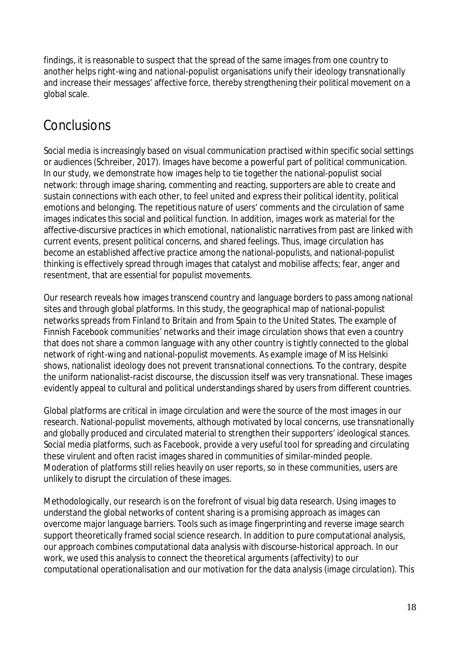findings, it is reasonable to suspect that the spread of the same images from one country to another helps right-wing and national-populist organisations unify their ideology transnationally and increase their messages' affective force, thereby strengthening their political movement on a global scale.

# **Conclusions**

Social media is increasingly based on visual communication practised within specific social settings or audiences (Schreiber, 2017). Images have become a powerful part of political communication. In our study, we demonstrate how images help to tie together the national-populist social network: through image sharing, commenting and reacting, supporters are able to create and sustain connections with each other, to feel united and express their political identity, political emotions and belonging. The repetitious nature of users' comments and the circulation of same images indicates this social and political function. In addition, images work as material for the affective-discursive practices in which emotional, nationalistic narratives from past are linked with current events, present political concerns, and shared feelings. Thus, image circulation has become an established affective practice among the national-populists, and national-populist thinking is effectively spread through images that catalyst and mobilise affects; fear, anger and resentment, that are essential for populist movements.

Our research reveals how images transcend country and language borders to pass among national sites and through global platforms. In this study, the geographical map of national-populist networks spreads from Finland to Britain and from Spain to the United States. The example of Finnish Facebook communities' networks and their image circulation shows that even a country that does not share a common language with any other country is tightly connected to the global network of right-wing and national-populist movements. As example image of Miss Helsinki shows, nationalist ideology does not prevent transnational connections. To the contrary, despite the uniform nationalist-racist discourse, the discussion itself was very transnational. These images evidently appeal to cultural and political understandings shared by users from different countries.

Global platforms are critical in image circulation and were the source of the most images in our research. National-populist movements, although motivated by local concerns, use transnationally and globally produced and circulated material to strengthen their supporters' ideological stances. Social media platforms, such as Facebook, provide a very useful tool for spreading and circulating these virulent and often racist images shared in communities of similar-minded people. Moderation of platforms still relies heavily on user reports, so in these communities, users are unlikely to disrupt the circulation of these images.

Methodologically, our research is on the forefront of visual big data research. Using images to understand the global networks of content sharing is a promising approach as images can overcome major language barriers. Tools such as image fingerprinting and reverse image search support theoretically framed social science research. In addition to pure computational analysis, our approach combines computational data analysis with discourse-historical approach. In our work, we used this analysis to connect the theoretical arguments (affectivity) to our computational operationalisation and our motivation for the data analysis (image circulation). This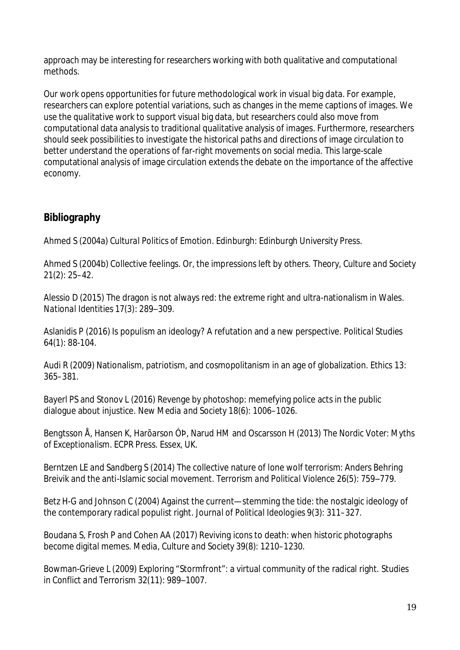approach may be interesting for researchers working with both qualitative and computational methods.

Our work opens opportunities for future methodological work in visual big data. For example, researchers can explore potential variations, such as changes in the meme captions of images. We use the qualitative work to support visual big data, but researchers could also move from computational data analysis to traditional qualitative analysis of images. Furthermore, researchers should seek possibilities to investigate the historical paths and directions of image circulation to better understand the operations of far-right movements on social media. This large-scale computational analysis of image circulation extends the debate on the importance of the affective economy.

#### **Bibliography**

Ahmed S (2004a) *Cultural Politics of Emotion*. Edinburgh: Edinburgh University Press.

Ahmed S (2004b) Collective feelings. Or, the impressions left by others. *Theory, Culture and Society* 21(2): 25–42.

Alessio D (2015) The dragon is not always red: the extreme right and ultra-nationalism in Wales. *National Identities* 17(3): 289–309.

Aslanidis P (2016) Is populism an ideology? A refutation and a new perspective. *Political Studies* 64(1): 88-104.

Audi R (2009) Nationalism, patriotism, and cosmopolitanism in an age of globalization. *Ethics* 13: 365–381.

Bayerl PS and Stonov L (2016) Revenge by photoshop: memefying police acts in the public dialogue about injustice. *New Media and Society* 18(6): 1006–1026.

Bengtsson Å, Hansen K, Harõarson ÓÞ, Narud HM and Oscarsson H (2013) *The Nordic Voter: Myths of Exceptionalism*. ECPR Press. Essex, UK.

Berntzen LE and Sandberg S (2014) The collective nature of lone wolf terrorism: Anders Behring Breivik and the anti-Islamic social movement. *Terrorism and Political Violence* 26(5): 759–779.

Betz H-G and Johnson C (2004) Against the current—stemming the tide: the nostalgic ideology of the contemporary radical populist right. *Journal of Political Ideologies* 9(3): 311–327.

Boudana S, Frosh P and Cohen AA (2017) Reviving icons to death: when historic photographs become digital memes. *Media, Culture and Society* 39(8): 1210–1230.

Bowman-Grieve L (2009) Exploring "Stormfront": a virtual community of the radical right. *Studies in Conflict and Terrorism* 32(11): 989–1007.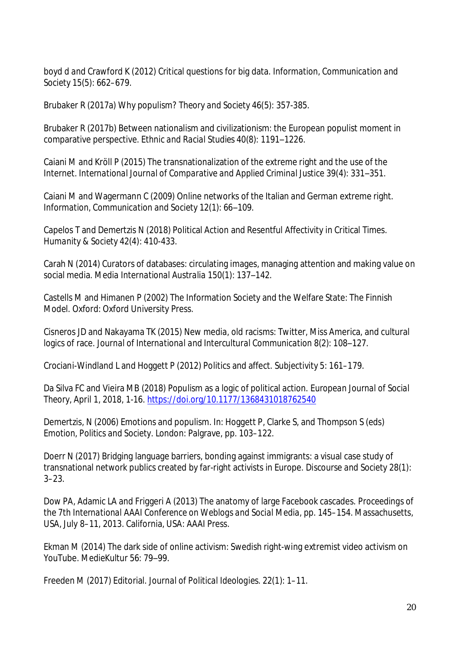boyd d and Crawford K (2012) Critical questions for big data. *Information, Communication and Society 15*(5): 662–679.

Brubaker R (2017a) Why populism? *Theory and Society* 46(5): 357-385.

Brubaker R (2017b) Between nationalism and civilizationism: the European populist moment in comparative perspective. *Ethnic and Racial Studies* 40(8): 1191–1226.

Caiani M and Kröll P (2015) The transnationalization of the extreme right and the use of the Internet. *International Journal of Comparative and Applied Criminal Justice* 39(4): 331‒351.

Caiani M and Wagermann C (2009) Online networks of the Italian and German extreme right. Information, Communication and Society 12(1): 66-109.

Capelos T and Demertzis N (2018) Political Action and Resentful Affectivity in Critical Times. *Humanity & Society* 42(4): 410-433.

Carah N (2014) Curators of databases: circulating images, managing attention and making value on social media. *Media International Australia* 150(1): 137-142.

Castells M and Himanen P (2002) The Information Society and the Welfare State: The Finnish Model. Oxford: Oxford University Press.

Cisneros JD and Nakayama TK (2015) New media, old racisms: Twitter, Miss America, and cultural logics of race. *Journal of International and Intercultural Communication* 8(2): 108–127.

Crociani-Windland L and Hoggett P (2012) Politics and affect. *Subjectivity* 5: 161–179.

Da Silva FC and Vieira MB (2018) Populism as a logic of political action. *European Journal of Social Theory*, April 1, 2018, 1-16. https://doi.org/10.1177/1368431018762540

Demertzis, N (2006) Emotions and populism. In: Hoggett P, Clarke S, and Thompson S (eds) *Emotion, Politics and Society.* London: Palgrave, pp. 103–122.

Doerr N (2017) Bridging language barriers, bonding against immigrants: a visual case study of transnational network publics created by far-right activists in Europe. *Discourse and Society* 28(1): 3–23.

Dow PA, Adamic LA and Friggeri A (2013) The anatomy of large Facebook cascades. *Proceedings of the 7th International AAAI Conference on Weblogs and Social Media*, pp. 145–154. Massachusetts, USA, July 8–11, 2013. California, USA: AAAI Press.

Ekman M (2014) The dark side of online activism: Swedish right-wing extremist video activism on YouTube. MedieKultur 56: 79-99.

Freeden M (2017) Editorial. *Journal of Political Ideologies*. 22(1): 1–11.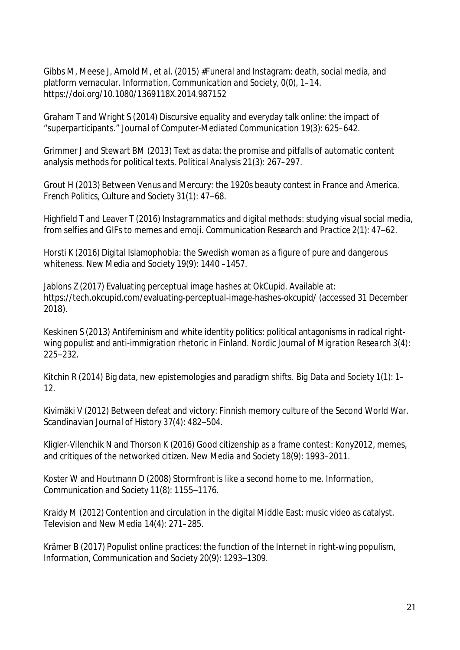Gibbs M, Meese J, Arnold M, et al. (2015) #Funeral and Instagram: death, social media, and platform vernacular. *Information, Communication and Society*, *0*(0), 1–14. https://doi.org/10.1080/1369118X.2014.987152

Graham T and Wright S (2014) Discursive equality and everyday talk online: the impact of "superparticipants." *Journal of Computer-Mediated Communication 19*(3): 625–642.

Grimmer J and Stewart BM (2013) Text as data: the promise and pitfalls of automatic content analysis methods for political texts. *Political Analysis* 21(3): 267–297.

Grout H (2013) Between Venus and Mercury: the 1920s beauty contest in France and America. *French Politics, Culture and Society* 31(1): 47–68.

Highfield T and Leaver T (2016) Instagrammatics and digital methods: studying visual social media, from selfies and GIFs to memes and emoji. *Communication Research and Practice* 2(1): 47‒62.

Horsti K (2016) Digital Islamophobia: the Swedish woman as a figure of pure and dangerous whiteness. *New Media and Society* 19(9): 1440 –1457.

Jablons Z (2017) Evaluating perceptual image hashes at OkCupid. Available at: https://tech.okcupid.com/evaluating-perceptual-image-hashes-okcupid/ (accessed 31 December 2018).

Keskinen S (2013) Antifeminism and white identity politics: political antagonisms in radical rightwing populist and anti-immigration rhetoric in Finland. *Nordic Journal of Migration Research* 3(4): 225‒232.

Kitchin R (2014) Big data, new epistemologies and paradigm shifts. *Big Data and Society* 1(1): 1– 12.

Kivimäki V (2012) Between defeat and victory: Finnish memory culture of the Second World War. *Scandinavian Journal of History* 37(4): 482‒504.

Kligler-Vilenchik N and Thorson K (2016) Good citizenship as a frame contest: Kony2012, memes, and critiques of the networked citizen. *New Media and Society* 18(9): 1993–2011.

Koster W and Houtmann D (2008) Stormfront is like a second home to me. *Information,* Communication and Society 11(8): 1155-1176.

Kraidy M (2012) Contention and circulation in the digital Middle East: music video as catalyst. *Television and New Media* 14(4): 271–285.

Krämer B (2017) Populist online practices: the function of the Internet in right-wing populism, *Information, Communication and Society* 20(9): 1293‒1309.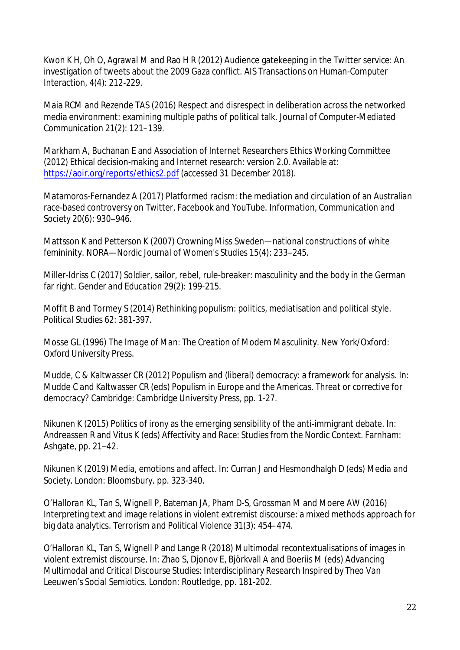Kwon K H, Oh O, Agrawal M and Rao H R (2012) Audience gatekeeping in the Twitter service: An investigation of tweets about the 2009 Gaza conflict. AIS Transactions on Human-Computer Interaction, 4(4): 212-229.

Maia RCM and Rezende TAS (2016) Respect and disrespect in deliberation across the networked media environment: examining multiple paths of political talk. *Journal of Computer-Mediated Communication* 21(2): 121–139.

Markham A, Buchanan E and Association of Internet Researchers Ethics Working Committee (2012) Ethical decision-making and Internet research: version 2.0. Available at: https://aoir.org/reports/ethics2.pdf (accessed 31 December 2018).

Matamoros-Fernandez A (2017) Platformed racism: the mediation and circulation of an Australian race-based controversy on Twitter, Facebook and YouTube. *Information, Communication and Society* 20(6): 930‒946.

Mattsson K and Petterson K (2007) Crowning Miss Sweden—national constructions of white femininity. *NORA—Nordic Journal of Women's Studies* 15(4): 233-245.

Miller-Idriss C (2017) Soldier, sailor, rebel, rule-breaker: masculinity and the body in the German far right. *Gender and Education* 29(2): 199-215.

Moffit B and Tormey S (2014) Rethinking populism: politics, mediatisation and political style. *Political Studies* 62: 381-397.

Mosse GL (1996) *The Image of Man: The Creation of Modern Masculinity*. New York/Oxford: Oxford University Press.

Mudde, C & Kaltwasser CR (2012) Populism and (liberal) democracy: a framework for analysis. In: Mudde C and Kaltwasser CR (eds) *Populism in Europe and the Americas. Threat or corrective for democracy?* Cambridge: Cambridge University Press, pp. 1-27.

Nikunen K (2015) Politics of irony as the emerging sensibility of the anti-immigrant debate. In: Andreassen R and Vitus K (eds) *Affectivity and Race: Studies from the Nordic Context*. Farnham: Ashgate, pp.  $21-42$ .

Nikunen K (2019) Media, emotions and affect. In: Curran J and Hesmondhalgh D (eds) *Media and Society*. London: Bloomsbury. pp. 323-340.

O'Halloran KL, Tan S, Wignell P, Bateman JA, Pham D-S, Grossman M and Moere AW (2016) Interpreting text and image relations in violent extremist discourse: a mixed methods approach for big data analytics. *Terrorism and Political Violence* 31(3): 454–474.

O'Halloran KL, Tan S, Wignell P and Lange R (2018) Multimodal recontextualisations of images in violent extremist discourse. In: Zhao S, Djonov E, Björkvall A and Boeriis M (eds) *Advancing Multimodal and Critical Discourse Studies: Interdisciplinary Research Inspired by Theo Van Leeuwen's Social Semiotics.* London: Routledge, pp. 181-202.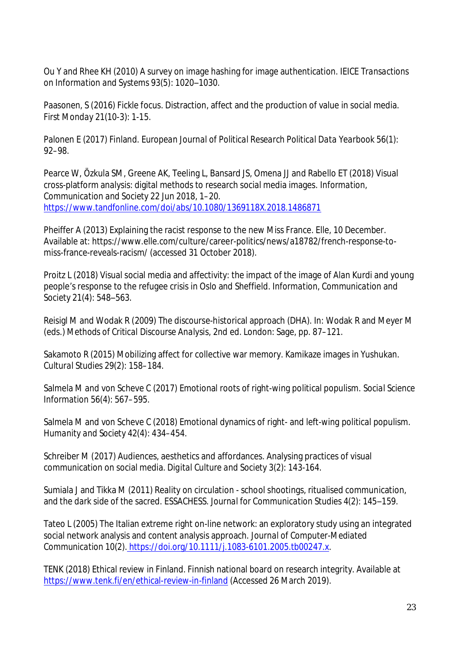Ou Y and Rhee KH (2010) A survey on image hashing for image authentication. *IEICE Transactions on Information and Systems* 93(5): 1020‒1030.

Paasonen, S (2016) Fickle focus. Distraction, affect and the production of value in social media. *First Monday* 21(10-3): 1-15.

Palonen E (2017) Finland. *European Journal of Political Research Political Data Yearbook* 56(1): 92–98.

Pearce W, Özkula SM, Greene AK, Teeling L, Bansard JS, Omena JJ and Rabello ET (2018) Visual cross-platform analysis: digital methods to research social media images. *Information, Communication and Society* 22 Jun 2018, 1–20. https://www.tandfonline.com/doi/abs/10.1080/1369118X.2018.1486871

Pheiffer A (2013) Explaining the racist response to the new Miss France. *Elle*, 10 December. Available at: https://www.elle.com/culture/career-politics/news/a18782/french-response-tomiss-france-reveals-racism/ (accessed 31 October 2018).

Proitz L (2018) Visual social media and affectivity: the impact of the image of Alan Kurdi and young people's response to the refugee crisis in Oslo and Sheffield*. Information, Communication and Society* 21(4): 548‒563.

Reisigl M and Wodak R (2009) The discourse-historical approach (DHA). In: Wodak R and Meyer M (eds.) *Methods of Critical Discourse Analysis*, 2nd ed. London: Sage, pp. 87–121.

Sakamoto R (2015) Mobilizing affect for collective war memory. Kamikaze images in Yushukan. *Cultural Studies* 29(2): 158–184.

Salmela M and von Scheve C (2017) Emotional roots of right-wing political populism. *Social Science Information* 56(4): 567–595.

Salmela M and von Scheve C (2018) Emotional dynamics of right- and left-wing political populism. *Humanity and Society* 42(4): 434–454.

Schreiber M (2017) Audiences, aesthetics and affordances. Analysing practices of visual communication on social media. *Digital Culture and Society* 3(2): 143-164.

Sumiala J and Tikka M (2011) Reality on circulation - school shootings, ritualised communication, and the dark side of the sacred. ESSACHESS. Journal for Communication Studies 4(2): 145-159.

Tateo L (2005) The Italian extreme right on-line network: an exploratory study using an integrated social network analysis and content analysis approach. *Journal of Computer-Mediated Communication* 10(2). https://doi.org/10.1111/j.1083-6101.2005.tb00247.x.

TENK (2018) Ethical review in Finland. Finnish national board on research integrity. Available at https://www.tenk.fi/en/ethical-review-in-finland (Accessed 26 March 2019).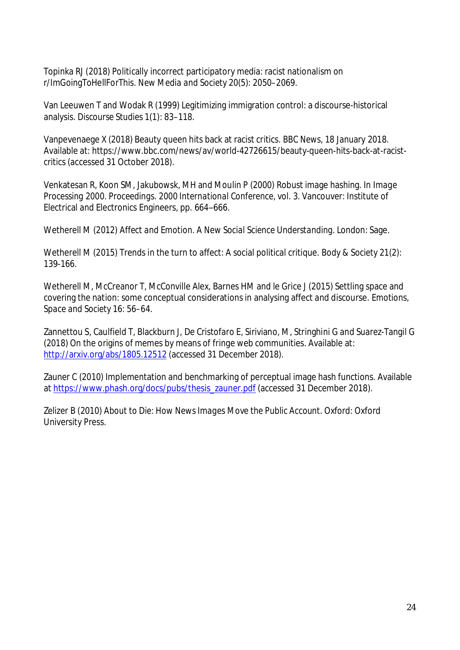Topinka RJ (2018) Politically incorrect participatory media: racist nationalism on r/ImGoingToHellForThis. *New Media and Society* 20(5): 2050–2069.

Van Leeuwen T and Wodak R (1999) Legitimizing immigration control: a discourse-historical analysis. *Discourse Studies* 1(1): 83–118.

Vanpevenaege X (2018) Beauty queen hits back at racist critics. *BBC News*, 18 January 2018. Available at: https://www.bbc.com/news/av/world-42726615/beauty-queen-hits-back-at-racistcritics (accessed 31 October 2018).

Venkatesan R, Koon SM, Jakubowsk, MH and Moulin P (2000) Robust image hashing. In *Image Processing 2000. Proceedings. 2000 International Conference*, vol. 3. Vancouver: Institute of Electrical and Electronics Engineers, pp. 664–666.

Wetherell M (2012) *Affect and Emotion. A New Social Science Understanding*. London: Sage.

Wetherell M (2015) Trends in the turn to affect: A social political critique. *Body & Society* 21(2): 139-166.

Wetherell M, McCreanor T, McConville Alex, Barnes HM and le Grice J (2015) Settling space and covering the nation: some conceptual considerations in analysing affect and discourse. *Emotions, Space and Society* 16: 56–64.

Zannettou S, Caulfield T, Blackburn J, De Cristofaro E, Siriviano, M, Stringhini G and Suarez-Tangil G (2018) On the origins of memes by means of fringe web communities. Available at: http://arxiv.org/abs/1805.12512 (accessed 31 December 2018).

Zauner C (2010) Implementation and benchmarking of perceptual image hash functions. Available at https://www.phash.org/docs/pubs/thesis\_zauner.pdf (accessed 31 December 2018).

Zelizer B (2010) *About to Die: How News Images Move the Public Account*. Oxford: Oxford University Press.